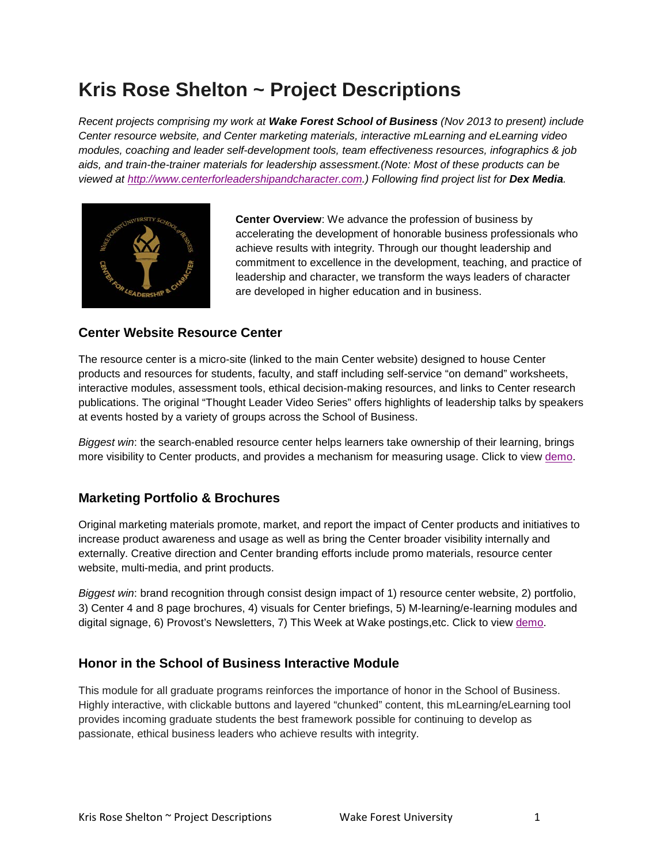# **Kris Rose Shelton ~ Project Descriptions**

*Recent projects comprising my work at Wake Forest School of Business (Nov 2013 to present) include Center resource website, and Center marketing materials, interactive mLearning and eLearning video modules, coaching and leader self-development tools, team effectiveness resources, infographics & job aids, and train-the-trainer materials for leadership assessment.(Note: Most of these products can be viewed at [http://www.centerforleadershipandcharacter.com.](http://www.centerforleadershipandcharacter.com/)) Following find project list for Dex Media.*



**Center Overview**: We advance the profession of business by accelerating the development of honorable business professionals who achieve results with integrity. Through our thought leadership and commitment to excellence in the development, teaching, and practice of leadership and character, we transform the ways leaders of character are developed in higher education and in business.

## **Center Website Resource Center**

The resource center is a micro-site (linked to the main Center website) designed to house Center products and resources for students, faculty, and staff including self-service "on demand" worksheets, interactive modules, assessment tools, ethical decision-making resources, and links to Center research publications. The original "Thought Leader Video Series" offers highlights of leadership talks by speakers at events hosted by a variety of groups across the School of Business.

*Biggest win*: the search-enabled resource center helps learners take ownership of their learning, brings more visibility to Center products, and provides a mechanism for measuring usage. Click to view [demo.](http://www.centerforleadershipandcharacter.com/)

#### **Marketing Portfolio & Brochures**

Original marketing materials promote, market, and report the impact of Center products and initiatives to increase product awareness and usage as well as bring the Center broader visibility internally and externally. Creative direction and Center branding efforts include promo materials, resource center website, multi-media, and print products.

*Biggest win*: brand recognition through consist design impact of 1) resource center website, 2) portfolio, 3) Center 4 and 8 page brochures, 4) visuals for Center briefings, 5) M-learning/e-learning modules and digital signage, 6) Provost's Newsletters, 7) This Week at Wake postings, etc. Click to view [demo.](http://www.centerforleadershipandcharacter.com/)

# **Honor in the School of Business Interactive Module**

This module for all graduate programs reinforces the importance of honor in the School of Business. Highly interactive, with clickable buttons and layered "chunked" content, this mLearning/eLearning tool provides incoming graduate students the best framework possible for continuing to develop as passionate, ethical business leaders who achieve results with integrity.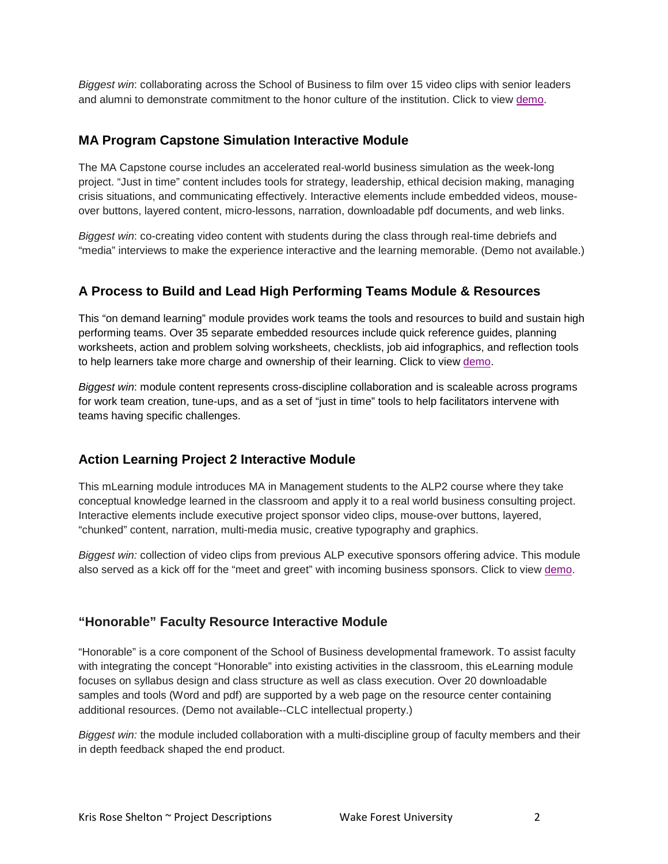*Biggest win*: collaborating across the School of Business to film over 15 video clips with senior leaders and alumni to demonstrate commitment to the honor culture of the institution. Click to view [demo.](http://clc.business.wfu.edu/module/honormodule1)

#### **MA Program Capstone Simulation Interactive Module**

The MA Capstone course includes an accelerated real-world business simulation as the week-long project. "Just in time" content includes tools for strategy, leadership, ethical decision making, managing crisis situations, and communicating effectively. Interactive elements include embedded videos, mouseover buttons, layered content, micro-lessons, narration, downloadable pdf documents, and web links.

*Biggest win*: co-creating video content with students during the class through real-time debriefs and "media" interviews to make the experience interactive and the learning memorable. (Demo not available.)

## **A Process to Build and Lead High Performing Teams Module & Resources**

This "on demand learning" module provides work teams the tools and resources to build and sustain high performing teams. Over 35 separate embedded resources include quick reference guides, planning worksheets, action and problem solving worksheets, checklists, job aid infographics, and reflection tools to help learners take more charge and ownership of their learning. Click to view [demo.](http://googledrive.com/host/0B9f4kJtY3fgYVHRiWnc0Uld0c3c)

*Biggest win*: module content represents cross-discipline collaboration and is scaleable across programs for work team creation, tune-ups, and as a set of "just in time" tools to help facilitators intervene with teams having specific challenges.

# **Action Learning Project 2 Interactive Module**

This mLearning module introduces MA in Management students to the ALP2 course where they take conceptual knowledge learned in the classroom and apply it to a real world business consulting project. Interactive elements include executive project sponsor video clips, mouse-over buttons, layered, "chunked" content, narration, multi-media music, creative typography and graphics.

*Biggest win:* collection of video clips from previous ALP executive sponsors offering advice. This module also served as a kick off for the "meet and greet" with incoming business sponsors. Click to view [demo.](https://googledrive.com/host/0BzgiZ_-nDBkMZVhpaGpVSWVrOE0)

#### **"Honorable" Faculty Resource Interactive Module**

"Honorable" is a core component of the School of Business developmental framework. To assist faculty with integrating the concept "Honorable" into existing activities in the classroom, this eLearning module focuses on syllabus design and class structure as well as class execution. Over 20 downloadable samples and tools (Word and pdf) are supported by a web page on the resource center containing additional resources. (Demo not available--CLC intellectual property.)

*Biggest win:* the module included collaboration with a multi-discipline group of faculty members and their in depth feedback shaped the end product.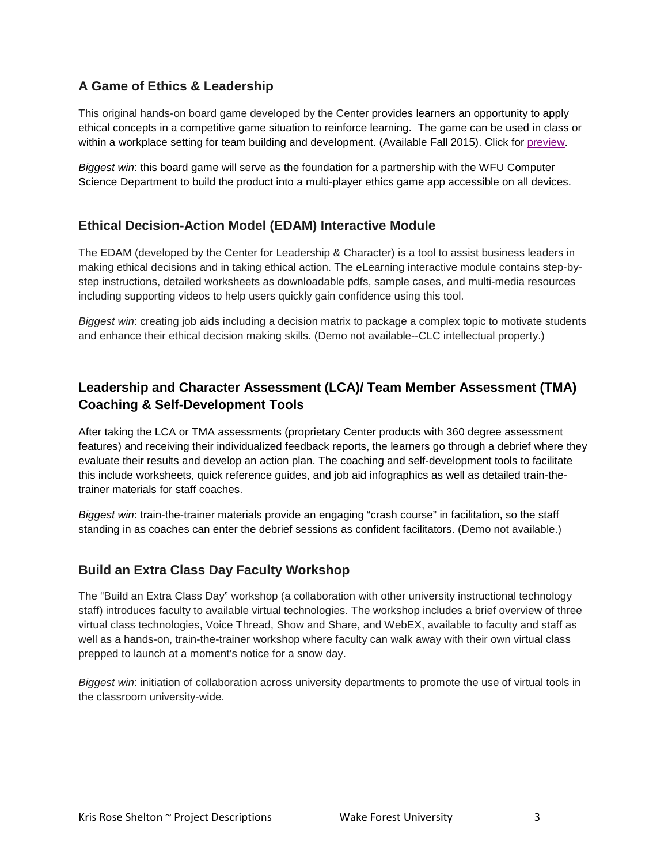# **A Game of Ethics & Leadership**

This original hands-on board game developed by the Center provides learners an opportunity to apply ethical concepts in a competitive game situation to reinforce learning. The game can be used in class or within a workplace setting for team building and development. (Available Fall 2015). Click for [preview.](http://www.centerforleadershipandcharacter.com/%23!ethics-game/cwsz)

*Biggest win*: this board game will serve as the foundation for a partnership with the WFU Computer Science Department to build the product into a multi-player ethics game app accessible on all devices.

#### **Ethical Decision-Action Model (EDAM) Interactive Module**

The EDAM (developed by the Center for Leadership & Character) is a tool to assist business leaders in making ethical decisions and in taking ethical action. The eLearning interactive module contains step-bystep instructions, detailed worksheets as downloadable pdfs, sample cases, and multi-media resources including supporting videos to help users quickly gain confidence using this tool.

*Biggest win*: creating job aids including a decision matrix to package a complex topic to motivate students and enhance their ethical decision making skills. (Demo not available--CLC intellectual property.)

# **Leadership and Character Assessment (LCA)/ Team Member Assessment (TMA) Coaching & Self-Development Tools**

After taking the LCA or TMA assessments (proprietary Center products with 360 degree assessment features) and receiving their individualized feedback reports, the learners go through a debrief where they evaluate their results and develop an action plan. The coaching and self-development tools to facilitate this include worksheets, quick reference guides, and job aid infographics as well as detailed train-thetrainer materials for staff coaches.

*Biggest win*: train-the-trainer materials provide an engaging "crash course" in facilitation, so the staff standing in as coaches can enter the debrief sessions as confident facilitators. (Demo not available.)

#### **Build an Extra Class Day Faculty Workshop**

The "Build an Extra Class Day" workshop (a collaboration with other university instructional technology staff) introduces faculty to available virtual technologies. The workshop includes a brief overview of three virtual class technologies, Voice Thread, Show and Share, and WebEX, available to faculty and staff as well as a hands-on, train-the-trainer workshop where faculty can walk away with their own virtual class prepped to launch at a moment's notice for a snow day.

*Biggest win*: initiation of collaboration across university departments to promote the use of virtual tools in the classroom university-wide.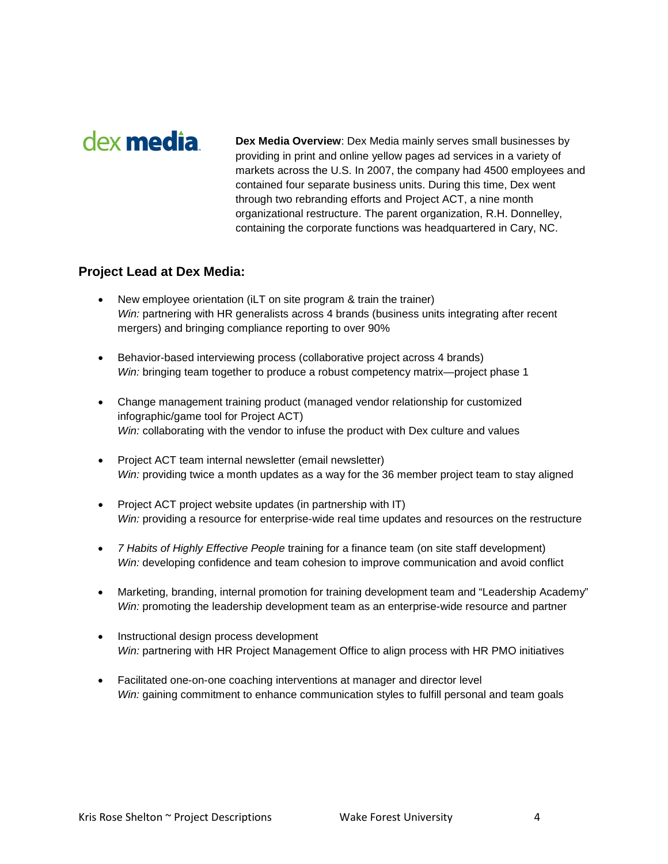# dex **media**

**Dex Media Overview**: Dex Media mainly serves small businesses by providing in print and online yellow pages ad services in a variety of markets across the U.S. In 2007, the company had 4500 employees and contained four separate business units. During this time, Dex went through two rebranding efforts and Project ACT, a nine month organizational restructure. The parent organization, R.H. Donnelley, containing the corporate functions was headquartered in Cary, NC.

#### **Project Lead at Dex Media:**

- New employee orientation (iLT on site program & train the trainer) *Win:* partnering with HR generalists across 4 brands (business units integrating after recent mergers) and bringing compliance reporting to over 90%
- Behavior-based interviewing process (collaborative project across 4 brands) *Win:* bringing team together to produce a robust competency matrix—project phase 1
- Change management training product (managed vendor relationship for customized infographic/game tool for Project ACT) *Win:* collaborating with the vendor to infuse the product with Dex culture and values
- Project ACT team internal newsletter (email newsletter) *Win:* providing twice a month updates as a way for the 36 member project team to stay aligned
- Project ACT project website updates (in partnership with IT) *Win:* providing a resource for enterprise-wide real time updates and resources on the restructure
- *7 Habits of Highly Effective People* training for a finance team (on site staff development) *Win:* developing confidence and team cohesion to improve communication and avoid conflict
- Marketing, branding, internal promotion for training development team and "Leadership Academy" *Win:* promoting the leadership development team as an enterprise-wide resource and partner
- Instructional design process development *Win:* partnering with HR Project Management Office to align process with HR PMO initiatives
- Facilitated one-on-one coaching interventions at manager and director level *Win:* gaining commitment to enhance communication styles to fulfill personal and team goals